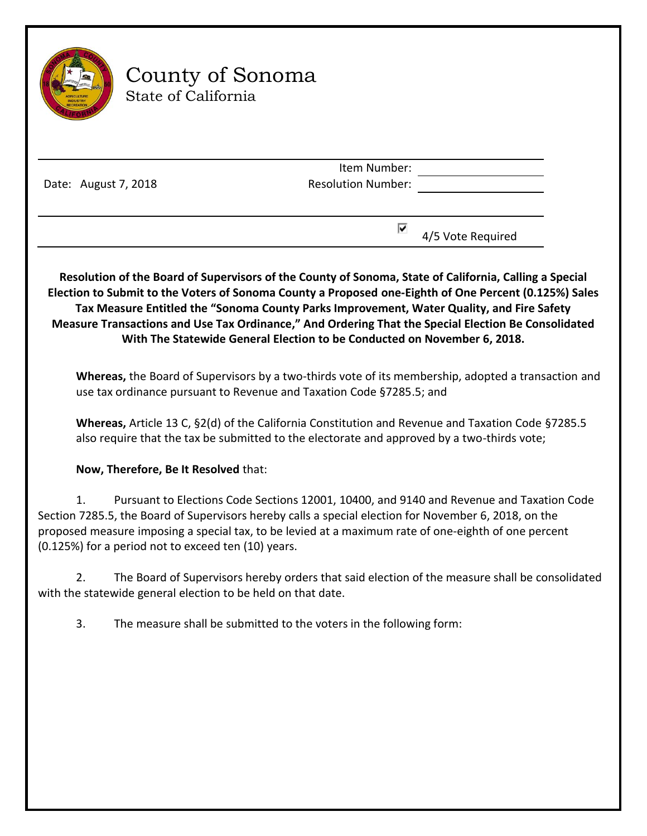

# County of Sonoma State of California

Item Number: Resolution Number:

Date: August 7, 2018

 $\overline{4}/5$  Vote Required

**Resolution of the Board of Supervisors of the County of Sonoma, State of California, Calling a Special Election to Submit to the Voters of Sonoma County a Proposed one-Eighth of One Percent (0.125%) Sales Tax Measure Entitled the "Sonoma County Parks Improvement, Water Quality, and Fire Safety Measure Transactions and Use Tax Ordinance," And Ordering That the Special Election Be Consolidated With The Statewide General Election to be Conducted on November 6, 2018.**

**Whereas,** the Board of Supervisors by a two-thirds vote of its membership, adopted a transaction and use tax ordinance pursuant to Revenue and Taxation Code §7285.5; and

**Whereas,** Article 13 C, §2(d) of the California Constitution and Revenue and Taxation Code §7285.5 also require that the tax be submitted to the electorate and approved by a two-thirds vote;

## **Now, Therefore, Be It Resolved** that:

1. Pursuant to Elections Code Sections 12001, 10400, and 9140 and Revenue and Taxation Code Section 7285.5, the Board of Supervisors hereby calls a special election for November 6, 2018, on the proposed measure imposing a special tax, to be levied at a maximum rate of one-eighth of one percent (0.125%) for a period not to exceed ten (10) years.

2. The Board of Supervisors hereby orders that said election of the measure shall be consolidated with the statewide general election to be held on that date.

3. The measure shall be submitted to the voters in the following form: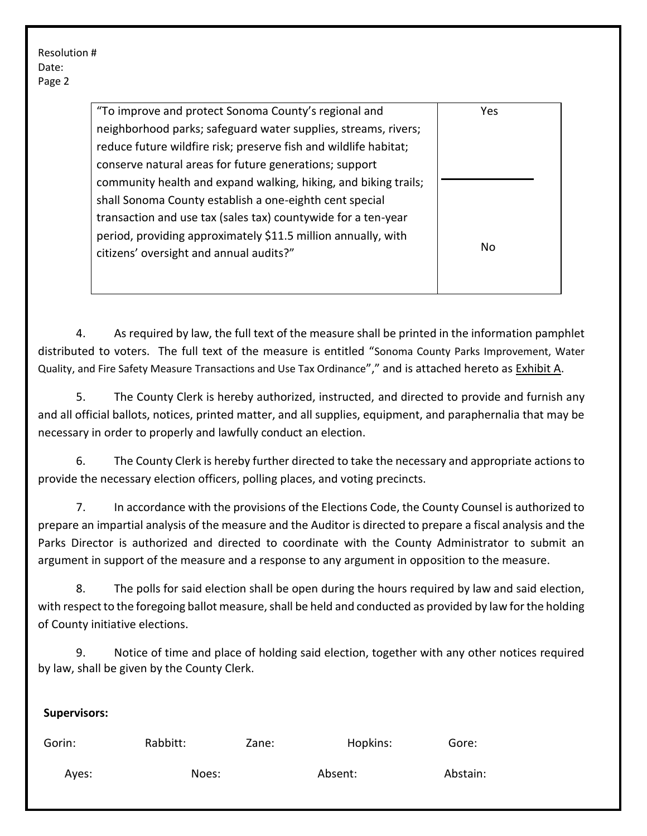| "To improve and protect Sonoma County's regional and             | Yes |
|------------------------------------------------------------------|-----|
| neighborhood parks; safeguard water supplies, streams, rivers;   |     |
| reduce future wildfire risk; preserve fish and wildlife habitat; |     |
| conserve natural areas for future generations; support           |     |
| community health and expand walking, hiking, and biking trails;  |     |
| shall Sonoma County establish a one-eighth cent special          |     |
| transaction and use tax (sales tax) countywide for a ten-year    |     |
| period, providing approximately \$11.5 million annually, with    |     |
| citizens' oversight and annual audits?"                          | No  |
|                                                                  |     |
|                                                                  |     |

4. As required by law, the full text of the measure shall be printed in the information pamphlet distributed to voters. The full text of the measure is entitled "Sonoma County Parks Improvement, Water Quality, and Fire Safety Measure Transactions and Use Tax Ordinance"," and is attached hereto as Exhibit A.

5. The County Clerk is hereby authorized, instructed, and directed to provide and furnish any and all official ballots, notices, printed matter, and all supplies, equipment, and paraphernalia that may be necessary in order to properly and lawfully conduct an election.

6. The County Clerk is hereby further directed to take the necessary and appropriate actions to provide the necessary election officers, polling places, and voting precincts.

7. In accordance with the provisions of the Elections Code, the County Counsel is authorized to prepare an impartial analysis of the measure and the Auditor is directed to prepare a fiscal analysis and the Parks Director is authorized and directed to coordinate with the County Administrator to submit an argument in support of the measure and a response to any argument in opposition to the measure.

8. The polls for said election shall be open during the hours required by law and said election, with respect to the foregoing ballot measure, shall be held and conducted as provided by law for the holding of County initiative elections.

9. Notice of time and place of holding said election, together with any other notices required by law, shall be given by the County Clerk.

| <b>Supervisors:</b> |          |       |          |          |
|---------------------|----------|-------|----------|----------|
| Gorin:              | Rabbitt: | Zane: | Hopkins: | Gore:    |
| Ayes:               | Noes:    |       | Absent:  | Abstain: |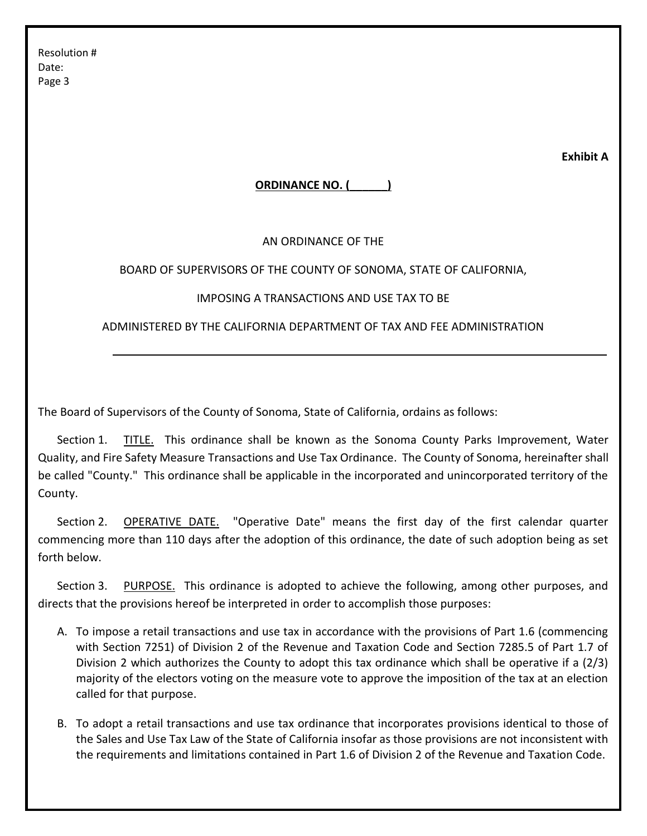**Exhibit A**

## **ORDINANCE NO. (\_\_\_\_\_\_)**

## AN ORDINANCE OF THE

## BOARD OF SUPERVISORS OF THE COUNTY OF SONOMA, STATE OF CALIFORNIA,

## IMPOSING A TRANSACTIONS AND USE TAX TO BE

ADMINISTERED BY THE CALIFORNIA DEPARTMENT OF TAX AND FEE ADMINISTRATION

The Board of Supervisors of the County of Sonoma, State of California, ordains as follows:

Section 1. **TITLE.** This ordinance shall be known as the Sonoma County Parks Improvement, Water Quality, and Fire Safety Measure Transactions and Use Tax Ordinance. The County of Sonoma, hereinafter shall be called "County." This ordinance shall be applicable in the incorporated and unincorporated territory of the County.

Section 2. OPERATIVE DATE. "Operative Date" means the first day of the first calendar quarter commencing more than 110 days after the adoption of this ordinance, the date of such adoption being as set forth below.

Section 3. PURPOSE. This ordinance is adopted to achieve the following, among other purposes, and directs that the provisions hereof be interpreted in order to accomplish those purposes:

- A. To impose a retail transactions and use tax in accordance with the provisions of Part 1.6 (commencing with Section 7251) of Division 2 of the Revenue and Taxation Code and Section 7285.5 of Part 1.7 of Division 2 which authorizes the County to adopt this tax ordinance which shall be operative if a (2/3) majority of the electors voting on the measure vote to approve the imposition of the tax at an election called for that purpose.
- B. To adopt a retail transactions and use tax ordinance that incorporates provisions identical to those of the Sales and Use Tax Law of the State of California insofar as those provisions are not inconsistent with the requirements and limitations contained in Part 1.6 of Division 2 of the Revenue and Taxation Code.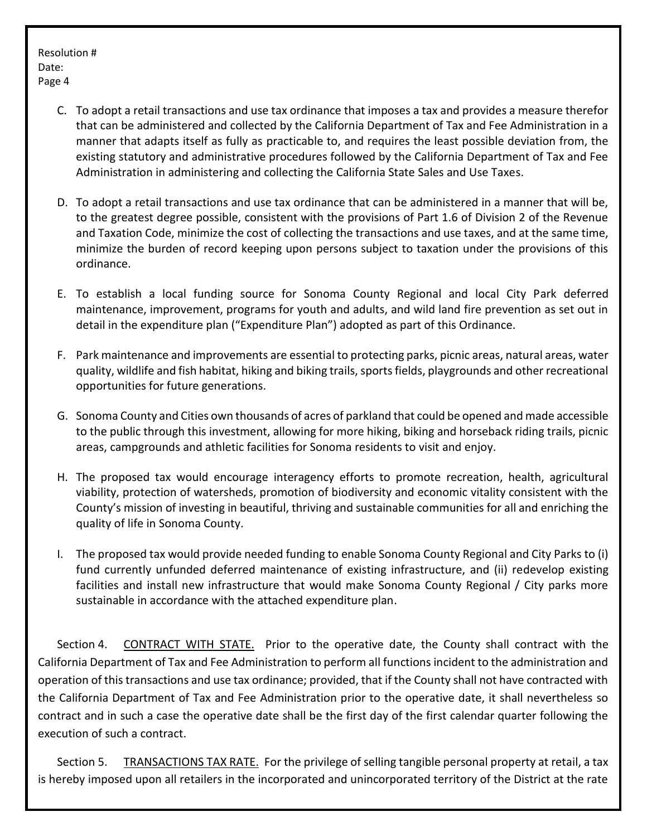- C. To adopt a retail transactions and use tax ordinance that imposes a tax and provides a measure therefor that can be administered and collected by the California Department of Tax and Fee Administration in a manner that adapts itself as fully as practicable to, and requires the least possible deviation from, the existing statutory and administrative procedures followed by the California Department of Tax and Fee Administration in administering and collecting the California State Sales and Use Taxes.
- D. To adopt a retail transactions and use tax ordinance that can be administered in a manner that will be, to the greatest degree possible, consistent with the provisions of Part 1.6 of Division 2 of the Revenue and Taxation Code, minimize the cost of collecting the transactions and use taxes, and at the same time, minimize the burden of record keeping upon persons subject to taxation under the provisions of this ordinance.
- E. To establish a local funding source for Sonoma County Regional and local City Park deferred maintenance, improvement, programs for youth and adults, and wild land fire prevention as set out in detail in the expenditure plan ("Expenditure Plan") adopted as part of this Ordinance.
- F. Park maintenance and improvements are essential to protecting parks, picnic areas, natural areas, water quality, wildlife and fish habitat, hiking and biking trails, sports fields, playgrounds and other recreational opportunities for future generations.
- G. Sonoma County and Cities own thousands of acres of parkland that could be opened and made accessible to the public through this investment, allowing for more hiking, biking and horseback riding trails, picnic areas, campgrounds and athletic facilities for Sonoma residents to visit and enjoy.
- H. The proposed tax would encourage interagency efforts to promote recreation, health, agricultural viability, protection of watersheds, promotion of biodiversity and economic vitality consistent with the County's mission of investing in beautiful, thriving and sustainable communities for all and enriching the quality of life in Sonoma County.
- I. The proposed tax would provide needed funding to enable Sonoma County Regional and City Parks to (i) fund currently unfunded deferred maintenance of existing infrastructure, and (ii) redevelop existing facilities and install new infrastructure that would make Sonoma County Regional / City parks more sustainable in accordance with the attached expenditure plan.

Section 4. CONTRACT WITH STATE. Prior to the operative date, the County shall contract with the California Department of Tax and Fee Administration to perform all functions incident to the administration and operation of this transactions and use tax ordinance; provided, that if the County shall not have contracted with the California Department of Tax and Fee Administration prior to the operative date, it shall nevertheless so contract and in such a case the operative date shall be the first day of the first calendar quarter following the execution of such a contract.

Section 5. TRANSACTIONS TAX RATE. For the privilege of selling tangible personal property at retail, a tax is hereby imposed upon all retailers in the incorporated and unincorporated territory of the District at the rate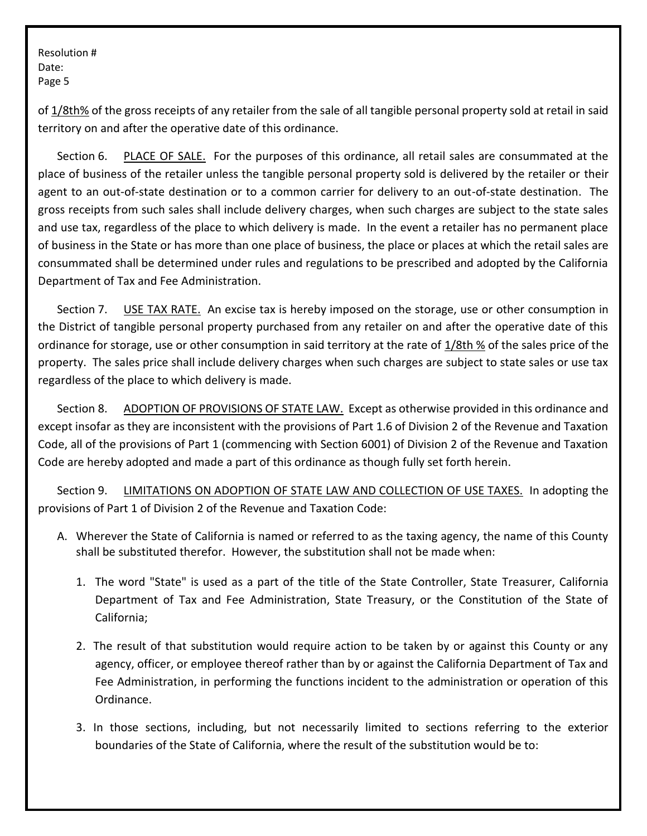of 1/8th% of the gross receipts of any retailer from the sale of all tangible personal property sold at retail in said territory on and after the operative date of this ordinance.

Section 6. PLACE OF SALE. For the purposes of this ordinance, all retail sales are consummated at the place of business of the retailer unless the tangible personal property sold is delivered by the retailer or their agent to an out-of-state destination or to a common carrier for delivery to an out-of-state destination. The gross receipts from such sales shall include delivery charges, when such charges are subject to the state sales and use tax, regardless of the place to which delivery is made. In the event a retailer has no permanent place of business in the State or has more than one place of business, the place or places at which the retail sales are consummated shall be determined under rules and regulations to be prescribed and adopted by the California Department of Tax and Fee Administration.

Section 7. USE TAX RATE. An excise tax is hereby imposed on the storage, use or other consumption in the District of tangible personal property purchased from any retailer on and after the operative date of this ordinance for storage, use or other consumption in said territory at the rate of 1/8th % of the sales price of the property. The sales price shall include delivery charges when such charges are subject to state sales or use tax regardless of the place to which delivery is made.

Section 8. ADOPTION OF PROVISIONS OF STATE LAW. Except as otherwise provided in this ordinance and except insofar as they are inconsistent with the provisions of Part 1.6 of Division 2 of the Revenue and Taxation Code, all of the provisions of Part 1 (commencing with Section 6001) of Division 2 of the Revenue and Taxation Code are hereby adopted and made a part of this ordinance as though fully set forth herein.

Section 9. LIMITATIONS ON ADOPTION OF STATE LAW AND COLLECTION OF USE TAXES. In adopting the provisions of Part 1 of Division 2 of the Revenue and Taxation Code:

- A. Wherever the State of California is named or referred to as the taxing agency, the name of this County shall be substituted therefor. However, the substitution shall not be made when:
	- 1. The word "State" is used as a part of the title of the State Controller, State Treasurer, California Department of Tax and Fee Administration, State Treasury, or the Constitution of the State of California;
	- 2. The result of that substitution would require action to be taken by or against this County or any agency, officer, or employee thereof rather than by or against the California Department of Tax and Fee Administration, in performing the functions incident to the administration or operation of this Ordinance.
	- 3. In those sections, including, but not necessarily limited to sections referring to the exterior boundaries of the State of California, where the result of the substitution would be to: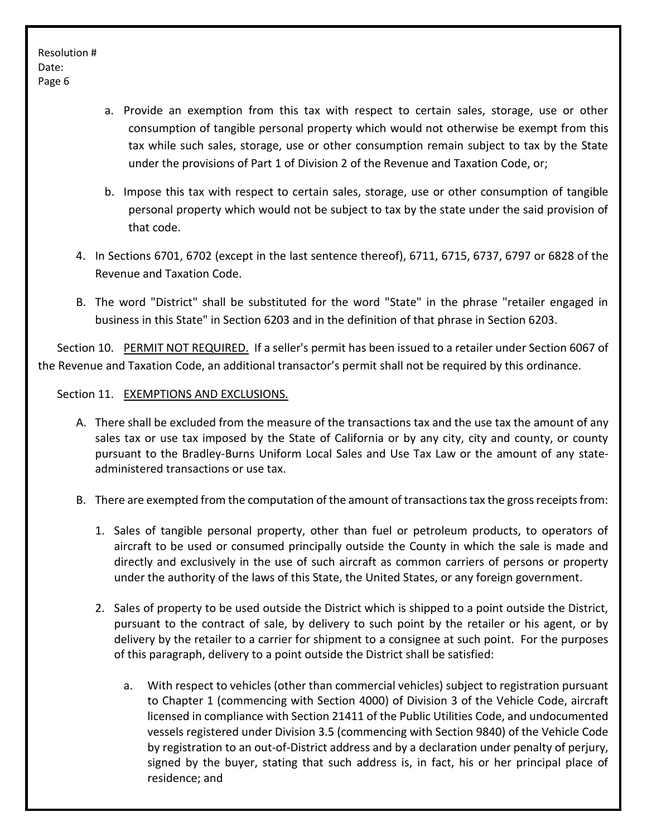- a. Provide an exemption from this tax with respect to certain sales, storage, use or other consumption of tangible personal property which would not otherwise be exempt from this tax while such sales, storage, use or other consumption remain subject to tax by the State under the provisions of Part 1 of Division 2 of the Revenue and Taxation Code, or;
- b. Impose this tax with respect to certain sales, storage, use or other consumption of tangible personal property which would not be subject to tax by the state under the said provision of that code.
- 4. In Sections 6701, 6702 (except in the last sentence thereof), 6711, 6715, 6737, 6797 or 6828 of the Revenue and Taxation Code.
- B. The word "District" shall be substituted for the word "State" in the phrase "retailer engaged in business in this State" in Section 6203 and in the definition of that phrase in Section 6203.

Section 10. PERMIT NOT REQUIRED. If a seller's permit has been issued to a retailer under Section 6067 of the Revenue and Taxation Code, an additional transactor's permit shall not be required by this ordinance.

## Section 11. EXEMPTIONS AND EXCLUSIONS.

- A. There shall be excluded from the measure of the transactions tax and the use tax the amount of any sales tax or use tax imposed by the State of California or by any city, city and county, or county pursuant to the Bradley-Burns Uniform Local Sales and Use Tax Law or the amount of any stateadministered transactions or use tax.
- B. There are exempted from the computation of the amount of transactions tax the gross receipts from:
	- 1. Sales of tangible personal property, other than fuel or petroleum products, to operators of aircraft to be used or consumed principally outside the County in which the sale is made and directly and exclusively in the use of such aircraft as common carriers of persons or property under the authority of the laws of this State, the United States, or any foreign government.
	- 2. Sales of property to be used outside the District which is shipped to a point outside the District, pursuant to the contract of sale, by delivery to such point by the retailer or his agent, or by delivery by the retailer to a carrier for shipment to a consignee at such point. For the purposes of this paragraph, delivery to a point outside the District shall be satisfied:
		- a. With respect to vehicles (other than commercial vehicles) subject to registration pursuant to Chapter 1 (commencing with Section 4000) of Division 3 of the Vehicle Code, aircraft licensed in compliance with Section 21411 of the Public Utilities Code, and undocumented vessels registered under Division 3.5 (commencing with Section 9840) of the Vehicle Code by registration to an out-of-District address and by a declaration under penalty of perjury, signed by the buyer, stating that such address is, in fact, his or her principal place of residence; and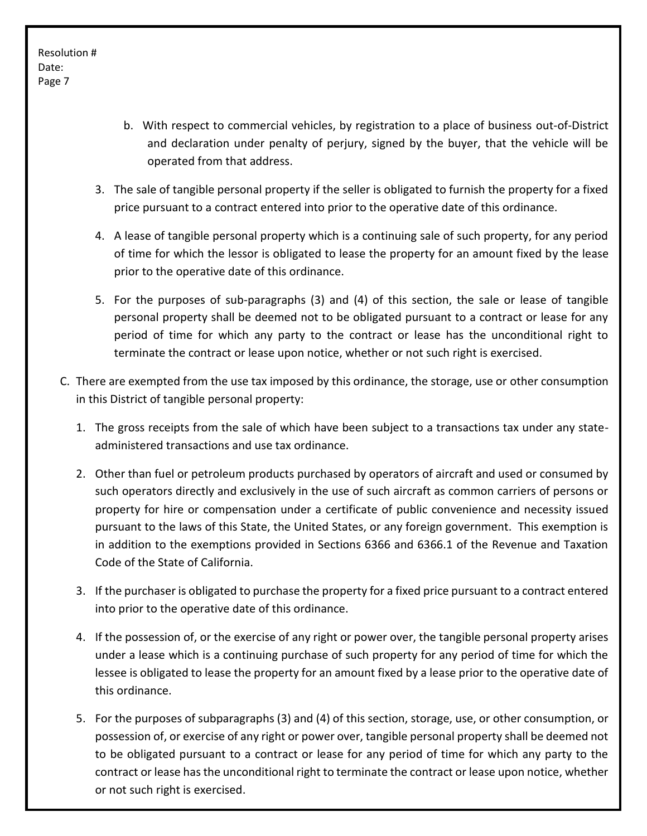- b. With respect to commercial vehicles, by registration to a place of business out-of-District and declaration under penalty of perjury, signed by the buyer, that the vehicle will be operated from that address.
- 3. The sale of tangible personal property if the seller is obligated to furnish the property for a fixed price pursuant to a contract entered into prior to the operative date of this ordinance.
- 4. A lease of tangible personal property which is a continuing sale of such property, for any period of time for which the lessor is obligated to lease the property for an amount fixed by the lease prior to the operative date of this ordinance.
- 5. For the purposes of sub-paragraphs (3) and (4) of this section, the sale or lease of tangible personal property shall be deemed not to be obligated pursuant to a contract or lease for any period of time for which any party to the contract or lease has the unconditional right to terminate the contract or lease upon notice, whether or not such right is exercised.
- C. There are exempted from the use tax imposed by this ordinance, the storage, use or other consumption in this District of tangible personal property:
	- 1. The gross receipts from the sale of which have been subject to a transactions tax under any stateadministered transactions and use tax ordinance.
	- 2. Other than fuel or petroleum products purchased by operators of aircraft and used or consumed by such operators directly and exclusively in the use of such aircraft as common carriers of persons or property for hire or compensation under a certificate of public convenience and necessity issued pursuant to the laws of this State, the United States, or any foreign government. This exemption is in addition to the exemptions provided in Sections 6366 and 6366.1 of the Revenue and Taxation Code of the State of California.
	- 3. If the purchaser is obligated to purchase the property for a fixed price pursuant to a contract entered into prior to the operative date of this ordinance.
	- 4. If the possession of, or the exercise of any right or power over, the tangible personal property arises under a lease which is a continuing purchase of such property for any period of time for which the lessee is obligated to lease the property for an amount fixed by a lease prior to the operative date of this ordinance.
	- 5. For the purposes of subparagraphs (3) and (4) of this section, storage, use, or other consumption, or possession of, or exercise of any right or power over, tangible personal property shall be deemed not to be obligated pursuant to a contract or lease for any period of time for which any party to the contract or lease has the unconditional right to terminate the contract or lease upon notice, whether or not such right is exercised.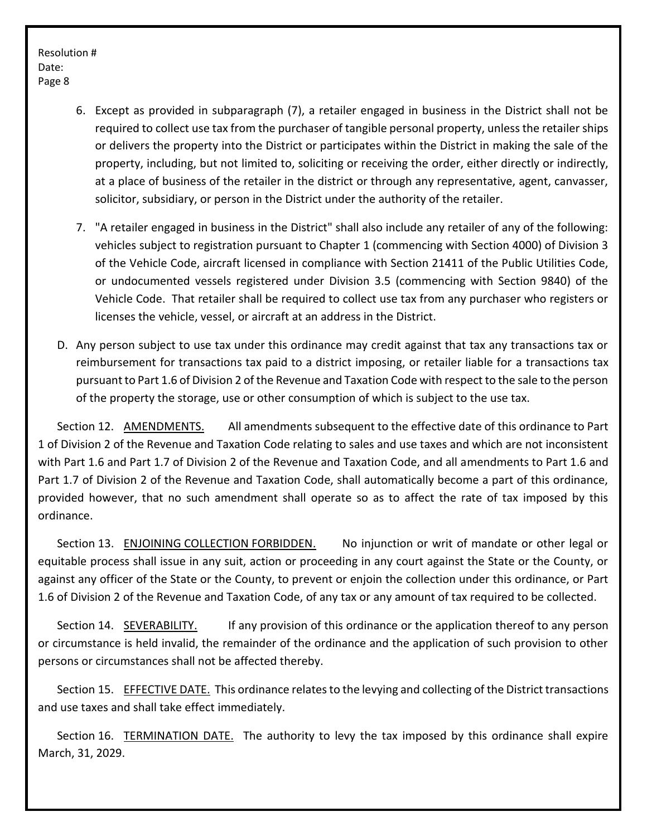- 6. Except as provided in subparagraph (7), a retailer engaged in business in the District shall not be required to collect use tax from the purchaser of tangible personal property, unless the retailer ships or delivers the property into the District or participates within the District in making the sale of the property, including, but not limited to, soliciting or receiving the order, either directly or indirectly, at a place of business of the retailer in the district or through any representative, agent, canvasser, solicitor, subsidiary, or person in the District under the authority of the retailer.
- 7. "A retailer engaged in business in the District" shall also include any retailer of any of the following: vehicles subject to registration pursuant to Chapter 1 (commencing with Section 4000) of Division 3 of the Vehicle Code, aircraft licensed in compliance with Section 21411 of the Public Utilities Code, or undocumented vessels registered under Division 3.5 (commencing with Section 9840) of the Vehicle Code. That retailer shall be required to collect use tax from any purchaser who registers or licenses the vehicle, vessel, or aircraft at an address in the District.
- D. Any person subject to use tax under this ordinance may credit against that tax any transactions tax or reimbursement for transactions tax paid to a district imposing, or retailer liable for a transactions tax pursuant to Part 1.6 of Division 2 of the Revenue and Taxation Code with respect to the sale to the person of the property the storage, use or other consumption of which is subject to the use tax.

Section 12. AMENDMENTS. All amendments subsequent to the effective date of this ordinance to Part 1 of Division 2 of the Revenue and Taxation Code relating to sales and use taxes and which are not inconsistent with Part 1.6 and Part 1.7 of Division 2 of the Revenue and Taxation Code, and all amendments to Part 1.6 and Part 1.7 of Division 2 of the Revenue and Taxation Code, shall automatically become a part of this ordinance, provided however, that no such amendment shall operate so as to affect the rate of tax imposed by this ordinance.

Section 13. ENJOINING COLLECTION FORBIDDEN. No injunction or writ of mandate or other legal or equitable process shall issue in any suit, action or proceeding in any court against the State or the County, or against any officer of the State or the County, to prevent or enjoin the collection under this ordinance, or Part 1.6 of Division 2 of the Revenue and Taxation Code, of any tax or any amount of tax required to be collected.

Section 14. SEVERABILITY. If any provision of this ordinance or the application thereof to any person or circumstance is held invalid, the remainder of the ordinance and the application of such provision to other persons or circumstances shall not be affected thereby.

Section 15. EFFECTIVE DATE. This ordinance relates to the levying and collecting of the District transactions and use taxes and shall take effect immediately.

Section 16. TERMINATION DATE. The authority to levy the tax imposed by this ordinance shall expire March, 31, 2029.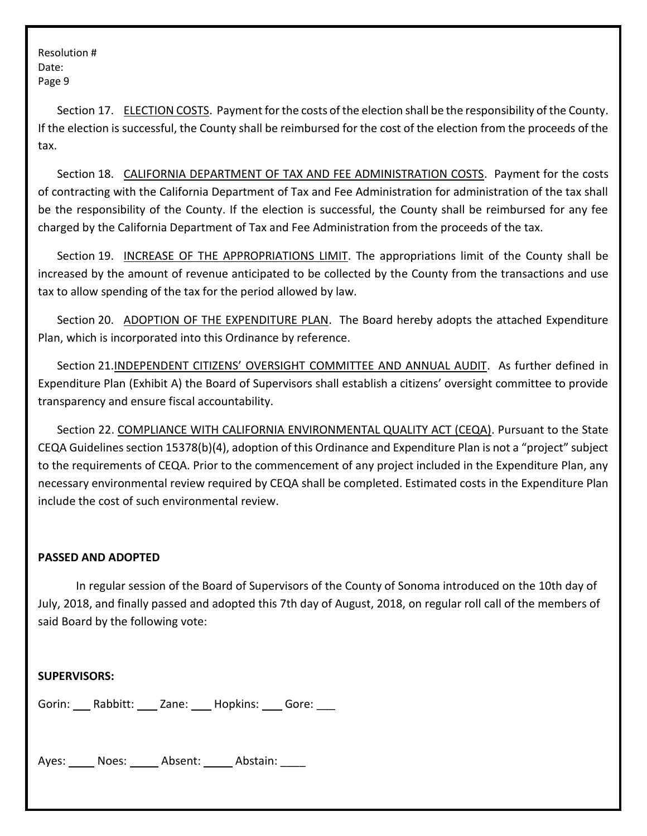Section 17. ELECTION COSTS. Payment for the costs of the election shall be the responsibility of the County. If the election is successful, the County shall be reimbursed for the cost of the election from the proceeds of the tax.

Section 18. CALIFORNIA DEPARTMENT OF TAX AND FEE ADMINISTRATION COSTS. Payment for the costs of contracting with the California Department of Tax and Fee Administration for administration of the tax shall be the responsibility of the County. If the election is successful, the County shall be reimbursed for any fee charged by the California Department of Tax and Fee Administration from the proceeds of the tax.

Section 19. INCREASE OF THE APPROPRIATIONS LIMIT. The appropriations limit of the County shall be increased by the amount of revenue anticipated to be collected by the County from the transactions and use tax to allow spending of the tax for the period allowed by law.

Section 20. ADOPTION OF THE EXPENDITURE PLAN. The Board hereby adopts the attached Expenditure Plan, which is incorporated into this Ordinance by reference.

Section 21.INDEPENDENT CITIZENS' OVERSIGHT COMMITTEE AND ANNUAL AUDIT. As further defined in Expenditure Plan (Exhibit A) the Board of Supervisors shall establish a citizens' oversight committee to provide transparency and ensure fiscal accountability.

Section 22. COMPLIANCE WITH CALIFORNIA ENVIRONMENTAL QUALITY ACT (CEQA). Pursuant to the State CEQA Guidelines section 15378(b)(4), adoption of this Ordinance and Expenditure Plan is not a "project" subject to the requirements of CEQA. Prior to the commencement of any project included in the Expenditure Plan, any necessary environmental review required by CEQA shall be completed. Estimated costs in the Expenditure Plan include the cost of such environmental review.

## **PASSED AND ADOPTED**

In regular session of the Board of Supervisors of the County of Sonoma introduced on the 10th day of July, 2018, and finally passed and adopted this 7th day of August, 2018, on regular roll call of the members of said Board by the following vote:

**SUPERVISORS:**

Gorin: Rabbitt: Zane: Hopkins: Gore:

Ayes: Noes: Absent: Abstain: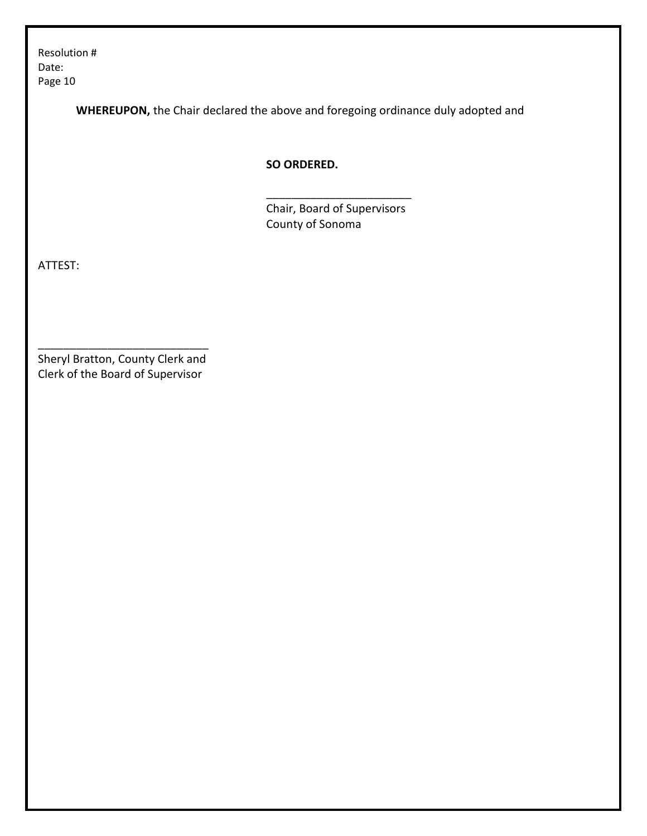**WHEREUPON,** the Chair declared the above and foregoing ordinance duly adopted and

**SO ORDERED.**

Chair, Board of Supervisors County of Sonoma

\_\_\_\_\_\_\_\_\_\_\_\_\_\_\_\_\_\_\_\_\_\_\_

ATTEST:

Sheryl Bratton, County Clerk and Clerk of the Board of Supervisor

\_\_\_\_\_\_\_\_\_\_\_\_\_\_\_\_\_\_\_\_\_\_\_\_\_\_\_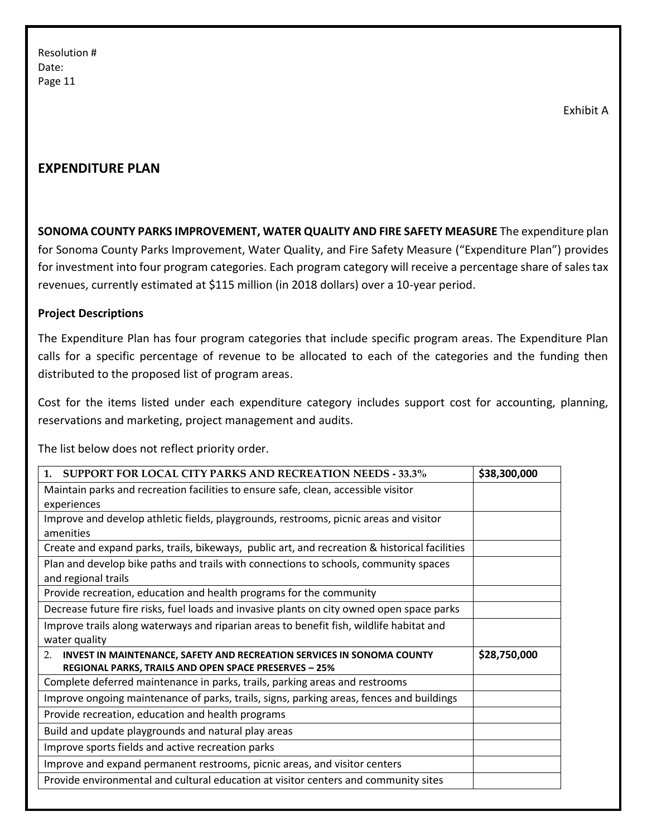Exhibit A

# **EXPENDITURE PLAN**

**SONOMA COUNTY PARKS IMPROVEMENT, WATER QUALITY AND FIRE SAFETY MEASURE** The expenditure plan for Sonoma County Parks Improvement, Water Quality, and Fire Safety Measure ("Expenditure Plan") provides for investment into four program categories. Each program category will receive a percentage share of sales tax revenues, currently estimated at \$115 million (in 2018 dollars) over a 10-year period.

#### **Project Descriptions**

The Expenditure Plan has four program categories that include specific program areas. The Expenditure Plan calls for a specific percentage of revenue to be allocated to each of the categories and the funding then distributed to the proposed list of program areas.

Cost for the items listed under each expenditure category includes support cost for accounting, planning, reservations and marketing, project management and audits.

The list below does not reflect priority order.

| <b>SUPPORT FOR LOCAL CITY PARKS AND RECREATION NEEDS - 33.3%</b><br>1 <sub>1</sub>            | \$38,300,000 |
|-----------------------------------------------------------------------------------------------|--------------|
|                                                                                               |              |
| Maintain parks and recreation facilities to ensure safe, clean, accessible visitor            |              |
| experiences                                                                                   |              |
| Improve and develop athletic fields, playgrounds, restrooms, picnic areas and visitor         |              |
| amenities                                                                                     |              |
| Create and expand parks, trails, bikeways, public art, and recreation & historical facilities |              |
| Plan and develop bike paths and trails with connections to schools, community spaces          |              |
| and regional trails                                                                           |              |
| Provide recreation, education and health programs for the community                           |              |
| Decrease future fire risks, fuel loads and invasive plants on city owned open space parks     |              |
| Improve trails along waterways and riparian areas to benefit fish, wildlife habitat and       |              |
| water quality                                                                                 |              |
| INVEST IN MAINTENANCE, SAFETY AND RECREATION SERVICES IN SONOMA COUNTY<br>2.                  | \$28,750,000 |
| REGIONAL PARKS, TRAILS AND OPEN SPACE PRESERVES - 25%                                         |              |
| Complete deferred maintenance in parks, trails, parking areas and restrooms                   |              |
| Improve ongoing maintenance of parks, trails, signs, parking areas, fences and buildings      |              |
| Provide recreation, education and health programs                                             |              |
| Build and update playgrounds and natural play areas                                           |              |
| Improve sports fields and active recreation parks                                             |              |
| Improve and expand permanent restrooms, picnic areas, and visitor centers                     |              |
| Provide environmental and cultural education at visitor centers and community sites           |              |
|                                                                                               |              |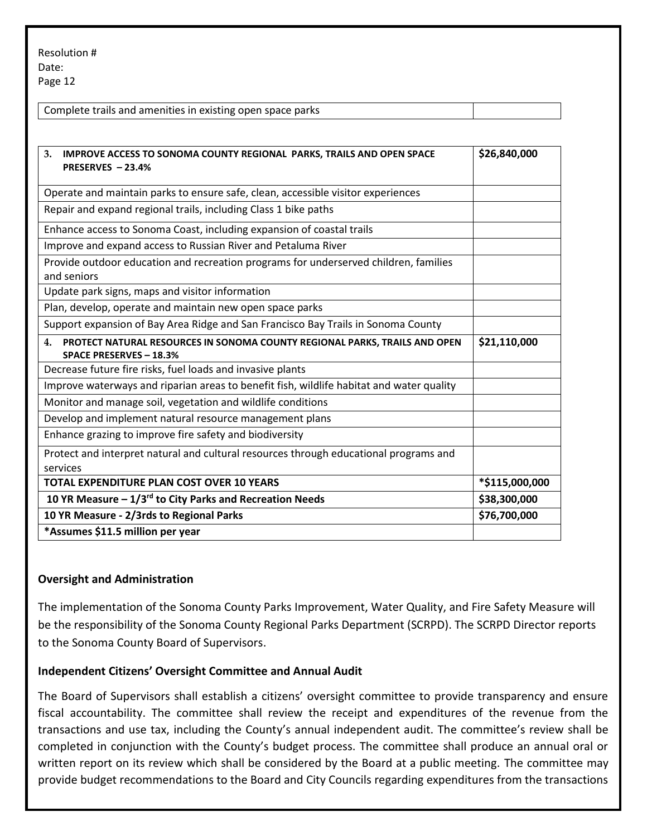| Complete trails and amenities in existing open space parks |  |
|------------------------------------------------------------|--|
|                                                            |  |
|                                                            |  |

| 3.<br><b>IMPROVE ACCESS TO SONOMA COUNTY REGIONAL PARKS, TRAILS AND OPEN SPACE</b><br>PRESERVES - 23.4%                      | \$26,840,000   |
|------------------------------------------------------------------------------------------------------------------------------|----------------|
| Operate and maintain parks to ensure safe, clean, accessible visitor experiences                                             |                |
| Repair and expand regional trails, including Class 1 bike paths                                                              |                |
| Enhance access to Sonoma Coast, including expansion of coastal trails                                                        |                |
| Improve and expand access to Russian River and Petaluma River                                                                |                |
| Provide outdoor education and recreation programs for underserved children, families<br>and seniors                          |                |
| Update park signs, maps and visitor information                                                                              |                |
| Plan, develop, operate and maintain new open space parks                                                                     |                |
| Support expansion of Bay Area Ridge and San Francisco Bay Trails in Sonoma County                                            |                |
| PROTECT NATURAL RESOURCES IN SONOMA COUNTY REGIONAL PARKS, TRAILS AND OPEN<br>$\mathbf{4}$<br><b>SPACE PRESERVES - 18.3%</b> | \$21,110,000   |
| Decrease future fire risks, fuel loads and invasive plants                                                                   |                |
| Improve waterways and riparian areas to benefit fish, wildlife habitat and water quality                                     |                |
| Monitor and manage soil, vegetation and wildlife conditions                                                                  |                |
| Develop and implement natural resource management plans                                                                      |                |
| Enhance grazing to improve fire safety and biodiversity                                                                      |                |
| Protect and interpret natural and cultural resources through educational programs and<br>services                            |                |
| <b>TOTAL EXPENDITURE PLAN COST OVER 10 YEARS</b>                                                                             | *\$115,000,000 |
| 10 YR Measure $-1/3$ <sup>rd</sup> to City Parks and Recreation Needs                                                        | \$38,300,000   |
| 10 YR Measure - 2/3rds to Regional Parks                                                                                     | \$76,700,000   |
| *Assumes \$11.5 million per year                                                                                             |                |

## **Oversight and Administration**

The implementation of the Sonoma County Parks Improvement, Water Quality, and Fire Safety Measure will be the responsibility of the Sonoma County Regional Parks Department (SCRPD). The SCRPD Director reports to the Sonoma County Board of Supervisors.

#### **Independent Citizens' Oversight Committee and Annual Audit**

The Board of Supervisors shall establish a citizens' oversight committee to provide transparency and ensure fiscal accountability. The committee shall review the receipt and expenditures of the revenue from the transactions and use tax, including the County's annual independent audit. The committee's review shall be completed in conjunction with the County's budget process. The committee shall produce an annual oral or written report on its review which shall be considered by the Board at a public meeting. The committee may provide budget recommendations to the Board and City Councils regarding expenditures from the transactions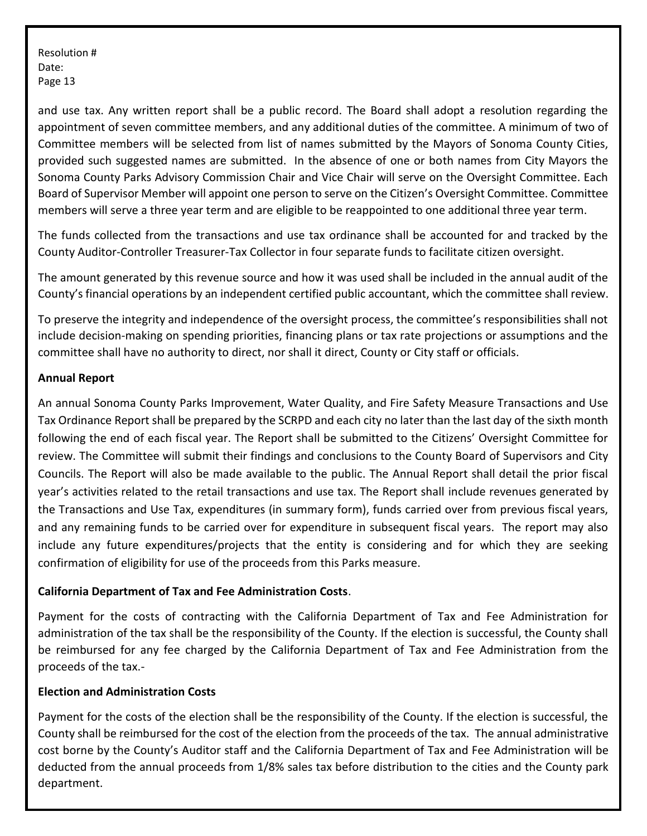and use tax. Any written report shall be a public record. The Board shall adopt a resolution regarding the appointment of seven committee members, and any additional duties of the committee. A minimum of two of Committee members will be selected from list of names submitted by the Mayors of Sonoma County Cities, provided such suggested names are submitted. In the absence of one or both names from City Mayors the Sonoma County Parks Advisory Commission Chair and Vice Chair will serve on the Oversight Committee. Each Board of Supervisor Member will appoint one person to serve on the Citizen's Oversight Committee. Committee members will serve a three year term and are eligible to be reappointed to one additional three year term.

The funds collected from the transactions and use tax ordinance shall be accounted for and tracked by the County Auditor-Controller Treasurer-Tax Collector in four separate funds to facilitate citizen oversight.

The amount generated by this revenue source and how it was used shall be included in the annual audit of the County's financial operations by an independent certified public accountant, which the committee shall review.

To preserve the integrity and independence of the oversight process, the committee's responsibilities shall not include decision-making on spending priorities, financing plans or tax rate projections or assumptions and the committee shall have no authority to direct, nor shall it direct, County or City staff or officials.

## **Annual Report**

An annual Sonoma County Parks Improvement, Water Quality, and Fire Safety Measure Transactions and Use Tax Ordinance Report shall be prepared by the SCRPD and each city no later than the last day of the sixth month following the end of each fiscal year. The Report shall be submitted to the Citizens' Oversight Committee for review. The Committee will submit their findings and conclusions to the County Board of Supervisors and City Councils. The Report will also be made available to the public. The Annual Report shall detail the prior fiscal year's activities related to the retail transactions and use tax. The Report shall include revenues generated by the Transactions and Use Tax, expenditures (in summary form), funds carried over from previous fiscal years, and any remaining funds to be carried over for expenditure in subsequent fiscal years. The report may also include any future expenditures/projects that the entity is considering and for which they are seeking confirmation of eligibility for use of the proceeds from this Parks measure.

## **California Department of Tax and Fee Administration Costs**.

Payment for the costs of contracting with the California Department of Tax and Fee Administration for administration of the tax shall be the responsibility of the County. If the election is successful, the County shall be reimbursed for any fee charged by the California Department of Tax and Fee Administration from the proceeds of the tax.-

## **Election and Administration Costs**

Payment for the costs of the election shall be the responsibility of the County. If the election is successful, the County shall be reimbursed for the cost of the election from the proceeds of the tax. The annual administrative cost borne by the County's Auditor staff and the California Department of Tax and Fee Administration will be deducted from the annual proceeds from 1/8% sales tax before distribution to the cities and the County park department.